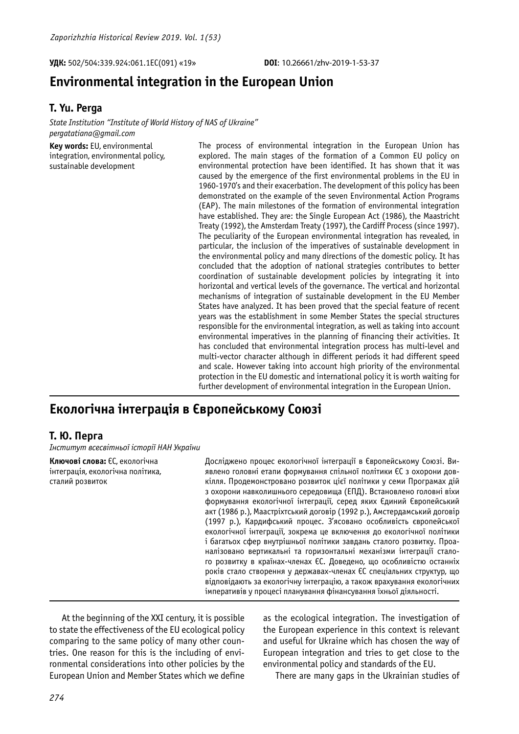**УДК:** 502/504:339.924:061.1ЕС(091) «19» **DOI**: 10.26661/zhv-2019-1-53-37

# **Environmental integration in the European Union**

### **T. Yu. Perga**

*State Institution "Institute of World History оf NAS of Ukraine" pergatatiana@gmail.com*

**Key words:** EU, environmental integration, environmental policy, sustainable development

The process of environmental integration in the European Union has explored. The main stages of the formation of a Common EU policy on environmental protection have been identified. It has shown that it was caused by the emergence of the first environmental problems in the EU in 1960-1970's and their exacerbation. The development of this policy has been demonstrated on the example of the seven Environmental Action Programs (EAP). The main milestones of the formation of environmental integration have established. They are: the Single European Act (1986), the Maastricht Treaty (1992), the Amsterdam Treaty (1997), the Cardiff Process (since 1997). The peculiarity of the European environmental integration has revealed, in particular, the inclusion of the imperatives of sustainable development in the environmental policy and many directions of the domestic policy. It has concluded that the adoption of national strategies contributes to better coordination of sustainable development policies by integrating it into horizontal and vertical levels of the governance. The vertical and horizontal mechanisms of integration of sustainable development in the EU Member States have analyzed. It has been proved that the special feature of recent years was the establishment in some Member States the special structures responsible for the environmental integration, as well as taking into account environmental imperatives in the planning of financing their activities. It has concluded that environmental integration process has multi-level and multi-vector character although in different periods it had different speed and scale. However taking into account high priority of the environmental protection in the EU domestic and international policy it is worth waiting for further development of environmental integration in the European Union.

## **Екологічна інтеграція в Європейському Союзі**

## **Т. Ю. Перга**

*Інститут всесвітньої історії НАН України*

**Ключові слова:** ЄС, екологічна інтеграція, екологічна політика, сталий розвиток

Досліджено процес екологічної інтеграції в Європейському Союзі. Виявлено головні етапи формування спільної політики ЄС з охорони довкілля. Продемонстровано розвиток цієї політики у семи Програмах дій з охорони навколишнього середовища (ЕПД). Встановлено головні віхи формування екологічної інтеграції, серед яких Єдиний Європейський акт (1986 р.), Маастріхтський договір (1992 р.), Амстердамський договір (1997 р.), Кардифський процес. З'ясовано особливість європейської екологічної інтеграції, зокрема це включення до екологічної політики і багатьох сфер внутрішньої політики завдань сталого розвитку. Проаналізовано вертикальні та горизонтальні механізми інтеграції сталого розвитку в країнах-членах ЄС. Доведено, що особливістю останніх років стало створення у державах-членах ЄС спеціальних структур, що відповідають за екологічну інтеграцію, а також врахування екологічних імперативів у процесі планування фінансування їхньої діяльності.

At the beginning of the XXI century, it is possible to state the effectiveness of the EU ecological policy comparing to the same policy of many other countries. One reason for this is the including of environmental considerations into other policies by the European Union and Member States which we define as the ecological integration. The investigation of the European experience in this context is relevant and useful for Ukraine which has chosen the way of European integration and tries to get close to the environmental policy and standards of the EU.

There are many gaps in the Ukrainian studies of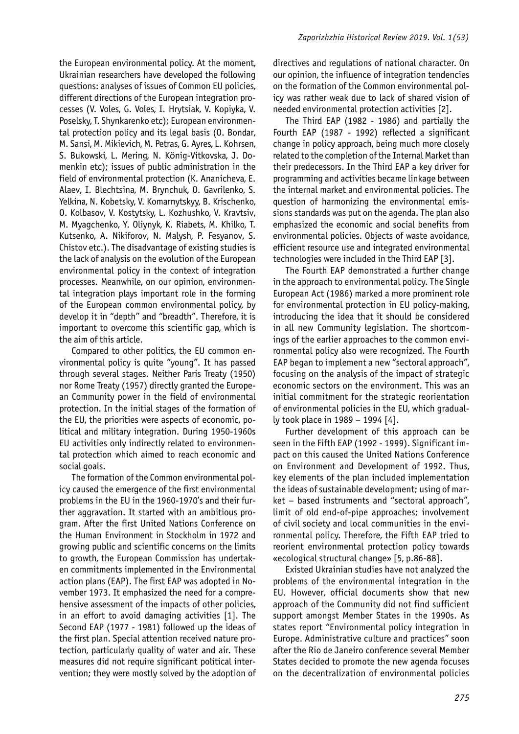the European environmental policy. At the moment, Ukrainian researchers have developed the following questions: analyses of issues of Common EU policies, different directions of the European integration processes (V. Voles, G. Voles, I. Hrytsiak, V. Kopiyka, V. Poselsky, T. Shynkarenko etc); European environmental protection policy and its legal basis (O. Bondar, M. Sansi, M. Mikievich, M. Petras, G. Ayres, L. Kohrsen, S. Bukowski, L. Mering, N. König-Vitkovska, J. Domenkin etc); issues of public administration in the field of environmental protection (K. Ananicheva, E. Alaev, I. Blechtsina, M. Brynchuk, O. Gavrilenko, S. Yelkina, N. Kobetsky, V. Komarnytskyy, B. Krischenko, O. Kolbasov, V. Kostytsky, L. Kozhushko, V. Kravtsiv, M. Myagchenko, Y. Oliynyk, K. Riabets, M. Khilko, T. Kutsenko, A. Nikiforov, N. Malysh, P. Fesyanov, S. Chistov etc.). The disadvantage of existing studies is the lack of analysis on the evolution of the European environmental policy in the context of integration processes. Meanwhile, on our opinion, environmental integration plays important role in the forming of the European common environmental policy, by develop it in "depth" and "breadth". Therefore, it is important to overcome this scientific gap, which is the aim of this article.

Compared to other politics, the EU common environmental policy is quite "young". It has passed through several stages. Neither Paris Treaty (1950) nor Rome Treaty (1957) directly granted the European Community power in the field of environmental protection. In the initial stages of the formation of the EU, the priorities were aspects of economic, political and military integration. During 1950-1960s EU activities only indirectly related to environmental protection which aimed to reach economic and social goals.

The formation of the Common environmental policy caused the emergence of the first environmental problems in the EU in the 1960-1970's and their further aggravation. It started with an ambitious program. After the first United Nations Conference on the Human Environment in Stockholm in 1972 and growing public and scientific concerns on the limits to growth, the European Commission has undertaken commitments implemented in the Environmental action plans (EAP). The first EAP was adopted in November 1973. It emphasized the need for a comprehensive assessment of the impacts of other policies, in an effort to avoid damaging activities [1]. The Second EAP (1977 - 1981) followed up the ideas of the first plan. Special attention received nature protection, particularly quality of water and air. These measures did not require significant political intervention; they were mostly solved by the adoption of

directives and regulations of national character. On our opinion, the influence of integration tendencies on the formation of the Common environmental policy was rather weak due to lack of shared vision of needed environmental protection activities [2].

The Third EAP (1982 - 1986) and partially the Fourth EAP (1987 - 1992) reflected a significant change in policy approach, being much more closely related to the completion of the Internal Market than their predecessors. In the Third EAP a key driver for programming and activities became linkage between the internal market and environmental policies. The question of harmonizing the environmental emissions standards was put on the agenda. The plan also emphasized the economic and social benefits from environmental policies. Objects of waste avoidance, efficient resource use and integrated environmental technologies were included in the Third EAP [3].

The Fourth EAP demonstrated a further change in the approach to environmental policy. The Single European Act (1986) marked a more prominent role for environmental protection in EU policy-making, introducing the idea that it should be considered in all new Community legislation. The shortcomings of the earlier approaches to the common environmental policy also were recognized. The Fourth EAP began to implement a new "sectoral approach", focusing on the analysis of the impact of strategic economic sectors on the environment. This was an initial commitment for the strategic reorientation of environmental policies in the EU, which gradually took place in 1989 – 1994 [4].

Further development of this approach can be seen in the Fifth EAP (1992 - 1999). Significant impact on this caused the United Nations Conference on Environment and Development of 1992. Thus, key elements of the plan included implementation the ideas of sustainable development; using of market – based instruments and "sectoral approach", limit of old end-of-pipe approaches; involvement of civil society and local communities in the environmental policy. Therefore, the Fifth EAP tried to reorient environmental protection policy towards «ecological structural change» [5, p.86-88].

Existed Ukrainian studies have not analyzed the problems of the environmental integration in the EU. However, official documents show that new approach of the Community did not find sufficient support amongst Member States in the 1990s. As states report "Environmental policy integration in Europe. Administrative culture and practices" soon after the Rio de Janeiro conference several Member States decided to promote the new agenda focuses on the decentralization of environmental policies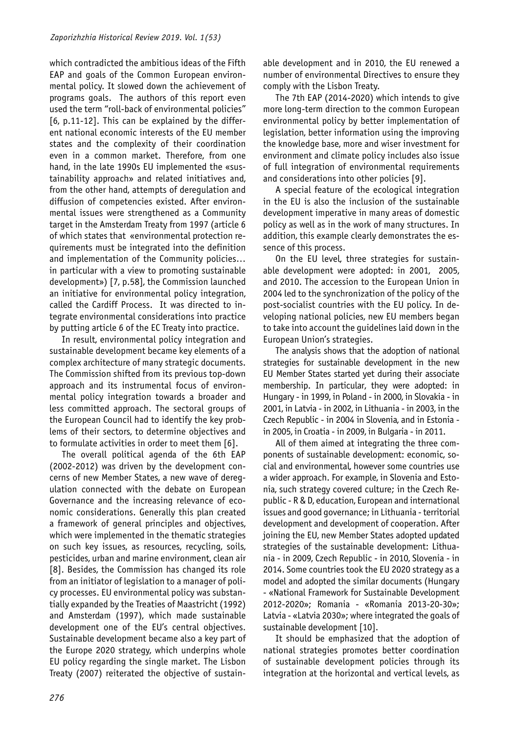which contradicted the ambitious ideas of the Fifth EAP and goals of the Common European environmental policy. It slowed down the achievement of programs goals. The authors of this report even used the term "roll-back of environmental policies" [6, p.11-12]. This can be explained by the different national economic interests of the EU member states and the complexity of their coordination even in a common market. Therefore, from one hand, in the late 1990s EU implemented the «sustainability approach» and related initiatives and, from the other hand, attempts of deregulation and diffusion of competencies existed. After environmental issues were strengthened as a Community target in the Amsterdam Treaty from 1997 (article 6 of which states that «environmental protection requirements must be integrated into the definition and implementation of the Community policies… in particular with a view to promoting sustainable development») [7, p.58], the Commission launched an initiative for environmental policy integration, called the Cardiff Process. It was directed to integrate environmental considerations into practice by putting article 6 of the EC Treaty into practice.

In result, environmental policy integration and sustainable development became key elements of a complex architecture of many strategic documents. The Commission shifted from its previous top-down approach and its instrumental focus of environmental policy integration towards a broader and less committed approach. The sectoral groups of the European Council had to identify the key problems of their sectors, to determine objectives and to formulate activities in order to meet them [6].

The overall political agenda of the 6th EAP (2002-2012) was driven by the development concerns of new Member States, a new wave of deregulation connected with the debate on European Governance and the increasing relevance of economic considerations. Generally this plan created a framework of general principles and objectives, which were implemented in the thematic strategies on such key issues, as resources, recycling, soils, pesticides, urban and marine environment, clean air [8]. Besides, the Commission has changed its role from an initiator of legislation to a manager of policy processes. EU environmental policy was substantially expanded by the Treaties of Maastricht (1992) and Amsterdam (1997), which made sustainable development one of the EU's central objectives. Sustainable development became also a key part of the Europe 2020 strategy, which underpins whole EU policy regarding the single market. The Lisbon Treaty (2007) reiterated the objective of sustainable development and in 2010, the EU renewed a number of environmental Directives to ensure they comply with the Lisbon Treaty.

The 7th EAP (2014-2020) which intends to give more long-term direction to the common European environmental policy by better implementation of legislation, better information using the improving the knowledge base, more and wiser investment for environment and climate policy includes also issue of full integration of environmental requirements and considerations into other policies [9].

A special feature of the ecological integration in the EU is also the inclusion of the sustainable development imperative in many areas of domestic policy as well as in the work of many structures. In addition, this example clearly demonstrates the essence of this process.

On the EU level, three strategies for sustainable development were adopted: in 2001, 2005, and 2010. The accession to the European Union in 2004 led to the synchronization of the policy of the post-socialist countries with the EU policy. In developing national policies, new EU members began to take into account the guidelines laid down in the European Union's strategies.

The analysis shows that the adoption of national strategies for sustainable development in the new EU Member States started yet during their associate membership. In particular, they were adopted: in Hungary - in 1999, in Poland - in 2000, in Slovakia - in 2001, in Latvia - in 2002, in Lithuania - in 2003, in the Czech Republic - in 2004 in Slovenia, and in Estonia in 2005, in Croatia - in 2009, in Bulgaria - in 2011.

All of them aimed at integrating the three components of sustainable development: economic, social and environmental, however some countries use a wider approach. For example, in Slovenia and Estonia, such strategy covered culture; in the Czech Republic - R & D, education, European and international issues and good governance; in Lithuania - territorial development and development of cooperation. After joining the EU, new Member States adopted updated strategies of the sustainable development: Lithuania - in 2009, Czech Republic - in 2010, Slovenia - in 2014. Some countries took the EU 2020 strategy as a model and adopted the similar documents (Hungary - «National Framework for Sustainable Development 2012-2020»; Romania - «Romania 2013-20-30»; Latvia - «Latvia 2030»; where integrated the goals of sustainable development [10].

It should be emphasized that the adoption of national strategies promotes better coordination of sustainable development policies through its integration at the horizontal and vertical levels, as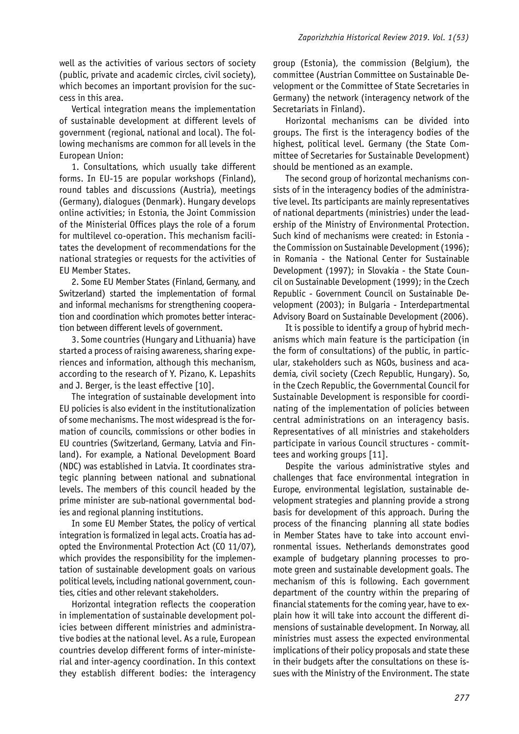well as the activities of various sectors of society (public, private and academic circles, civil society), which becomes an important provision for the success in this area.

Vertical integration means the implementation of sustainable development at different levels of government (regional, national and local). The following mechanisms are common for all levels in the European Union:

1. Consultations, which usually take different forms. In EU-15 are popular workshops (Finland), round tables and discussions (Austria), meetings (Germany), dialogues (Denmark). Hungary develops online activities; in Estonia, the Joint Commission of the Ministerial Offices plays the role of a forum for multilevel co-operation. This mechanism facilitates the development of recommendations for the national strategies or requests for the activities of EU Member States.

2. Some EU Member States (Finland, Germany, and Switzerland) started the implementation of formal and informal mechanisms for strengthening cooperation and coordination which promotes better interaction between different levels of government.

3. Some countries (Hungary and Lithuania) have started a process of raising awareness, sharing experiences and information, although this mechanism, according to the research of Y. Pizano, K. Lepashits and J. Berger, is the least effective [10].

The integration of sustainable development into EU policies is also evident in the institutionalization of some mechanisms. The most widespread is the formation of councils, commissions or other bodies in EU countries (Switzerland, Germany, Latvia and Finland). For example, a National Development Board (NDC) was established in Latvia. It coordinates strategic planning between national and subnational levels. The members of this council headed by the prime minister are sub-national governmental bodies and regional planning institutions.

In some EU Member States, the policy of vertical integration is formalized in legal acts. Croatia has adopted the Environmental Protection Act (CO 11/07), which provides the responsibility for the implementation of sustainable development goals on various political levels, including national government, counties, cities and other relevant stakeholders.

Horizontal integration reflects the cooperation in implementation of sustainable development policies between different ministries and administrative bodies at the national level. As a rule, European countries develop different forms of inter-ministerial and inter-agency coordination. In this context they establish different bodies: the interagency

group (Estonia), the commission (Belgium), the committee (Austrian Committee on Sustainable Development or the Committee of State Secretaries in Germany) the network (interagency network of the Secretariats in Finland).

Horizontal mechanisms can be divided into groups. The first is the interagency bodies of the highest, political level. Germany (the State Committee of Secretaries for Sustainable Development) should be mentioned as an example.

The second group of horizontal mechanisms consists of in the interagency bodies of the administrative level. Its participants are mainly representatives of national departments (ministries) under the leadership of the Ministry of Environmental Protection. Such kind of mechanisms were created: in Estonia the Commission on Sustainable Development (1996); in Romania - the National Center for Sustainable Development (1997); in Slovakia - the State Council on Sustainable Development (1999); in the Czech Republic - Government Council on Sustainable Development (2003); in Bulgaria - Interdepartmental Advisory Board on Sustainable Development (2006).

It is possible to identify a group of hybrid mechanisms which main feature is the participation (in the form of consultations) of the public, in particular, stakeholders such as NGOs, business and academia, civil society (Czech Republic, Hungary). So, in the Czech Republic, the Governmental Council for Sustainable Development is responsible for coordinating of the implementation of policies between central administrations on an interagency basis. Representatives of all ministries and stakeholders participate in various Council structures - committees and working groups [11].

Despite the various administrative styles and challenges that face environmental integration in Europe, environmental legislation, sustainable development strategies and planning provide a strong basis for development of this approach. During the process of the financing planning all state bodies in Member States have to take into account environmental issues. Netherlands demonstrates good example of budgetary planning processes to promote green and sustainable development goals. The mechanism of this is following. Each government department of the country within the preparing of financial statements for the coming year, have to explain how it will take into account the different dimensions of sustainable development. In Norway, all ministries must assess the expected environmental implications of their policy proposals and state these in their budgets after the consultations on these issues with the Ministry of the Environment. The state